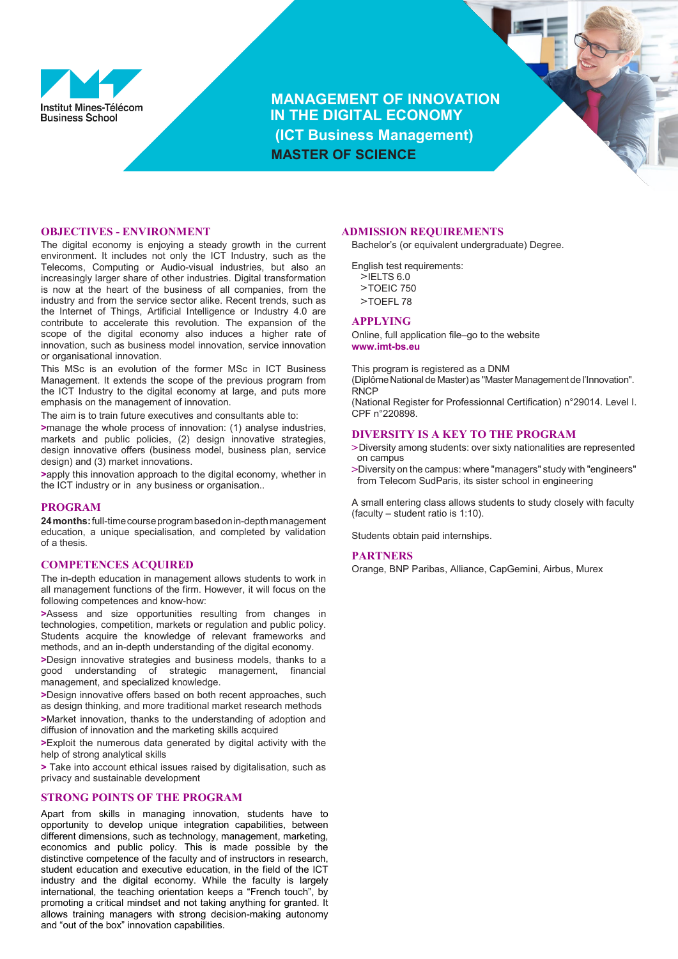

**MANAGEMENT OF INNOVATION IN THE DIGITAL ECONOMY (ICT Business Management) MASTER OF SCIENCE**



## **OBJECTIVES - ENVIRONMENT**

The digital economy is enjoying a steady growth in the current environment. It includes not only the ICT Industry, such as the Telecoms, Computing or Audio-visual industries, but also an increasingly larger share of other industries. Digital transformation is now at the heart of the business of all companies, from the industry and from the service sector alike. Recent trends, such as the Internet of Things, Artificial Intelligence or Industry 4.0 are contribute to accelerate this revolution. The expansion of the scope of the digital economy also induces a higher rate of innovation, such as business model innovation, service innovation or organisational innovation.

This MSc is an evolution of the former MSc in ICT Business Management. It extends the scope of the previous program from the ICT Industry to the digital economy at large, and puts more emphasis on the management of innovation.

The aim is to train future executives and consultants able to:

**>**manage the whole process of innovation: (1) analyse industries, markets and public policies, (2) design innovative strategies, design innovative offers (business model, business plan, service design) and (3) market innovations.

**>**apply this innovation approach to the digital economy, whether in the ICT industry or in any business or organisation..

#### **PROGRAM**

**24months:**full-timecourseprogrambasedonin-depthmanagement education, a unique specialisation, and completed by validation of a thesis.

## **COMPETENCES ACQUIRED**

The in-depth education in management allows students to work in all management functions of the firm. However, it will focus on the following competences and know-how:

**>**Assess and size opportunities resulting from changes in technologies, competition, markets or regulation and public policy. Students acquire the knowledge of relevant frameworks and methods, and an in-depth understanding of the digital economy.

**>**Design innovative strategies and business models, thanks to a good understanding of strategic management, financial management, and specialized knowledge.

**>**Design innovative offers based on both recent approaches, such as design thinking, and more traditional market research methods **>**Market innovation, thanks to the understanding of adoption and diffusion of innovation and the marketing skills acquired

**>**Exploit the numerous data generated by digital activity with the help of strong analytical skills

**>** Take into account ethical issues raised by digitalisation, such as privacy and sustainable development

# **STRONG POINTS OF THE PROGRAM**

Apart from skills in managing innovation, students have to opportunity to develop unique integration capabilities, between different dimensions, such as technology, management, marketing, economics and public policy. This is made possible by the distinctive competence of the faculty and of instructors in research, student education and executive education, in the field of the ICT industry and the digital economy. While the faculty is largely international, the teaching orientation keeps a "French touch", by promoting a critical mindset and not taking anything for granted. It allows training managers with strong decision-making autonomy and "out of the box" innovation capabilities.

#### **ADMISSION REQUIREMENTS**

Bachelor's (or equivalent undergraduate) Degree.

English test requirements:

- **>**IELTS 6.0 **>**TOEIC 750
- **>**TOEFL 78
- 

# **APPLYING**

Online, full application file–go to the website **[www.imt-bs.eu](http://www.imt-bs.eu/)**

This program is registered as a DNM (Diplôme National de Master) as "Master Management de l'Innovation". **RNCP** (National Register for Professionnal Certification) n°29014. Level I.

CPF n°220898.

# **DIVERSITY IS A KEY TO THE PROGRAM**

- **>**Diversity among students: over sixty nationalities are represented on campus
- **>**Diversity on the campus: where "managers" study with "engineers" from Telecom SudParis, its sister school in engineering

A small entering class allows students to study closely with faculty (faculty – student ratio is 1:10).

Students obtain paid internships.

#### **PARTNERS**

Orange, BNP Paribas, Alliance, CapGemini, Airbus, Murex